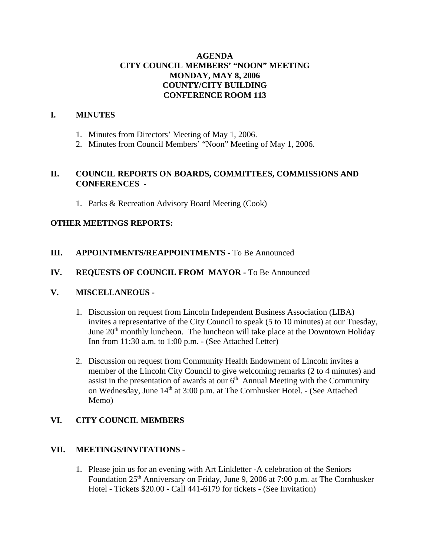# **AGENDA CITY COUNCIL MEMBERS' "NOON" MEETING MONDAY, MAY 8, 2006 COUNTY/CITY BUILDING CONFERENCE ROOM 113**

# **I. MINUTES**

- 1. Minutes from Directors' Meeting of May 1, 2006.
- 2. Minutes from Council Members' "Noon" Meeting of May 1, 2006.

## **II. COUNCIL REPORTS ON BOARDS, COMMITTEES, COMMISSIONS AND CONFERENCES -**

1. Parks & Recreation Advisory Board Meeting (Cook)

## **OTHER MEETINGS REPORTS:**

## **III.** APPOINTMENTS/REAPPOINTMENTS - To Be Announced

## **IV. REQUESTS OF COUNCIL FROM MAYOR -** To Be Announced

## **V. MISCELLANEOUS -**

- 1. Discussion on request from Lincoln Independent Business Association (LIBA) invites a representative of the City Council to speak (5 to 10 minutes) at our Tuesday, June  $20<sup>th</sup>$  monthly luncheon. The luncheon will take place at the Downtown Holiday Inn from 11:30 a.m. to 1:00 p.m. - (See Attached Letter)
- 2. Discussion on request from Community Health Endowment of Lincoln invites a member of the Lincoln City Council to give welcoming remarks (2 to 4 minutes) and assist in the presentation of awards at our  $6<sup>th</sup>$  Annual Meeting with the Community on Wednesday, June 14<sup>th</sup> at 3:00 p.m. at The Cornhusker Hotel. - (See Attached Memo)

## **VI. CITY COUNCIL MEMBERS**

## **VII. MEETINGS/INVITATIONS** -

1. Please join us for an evening with Art Linkletter -A celebration of the Seniors Foundation 25<sup>th</sup> Anniversary on Friday, June 9, 2006 at 7:00 p.m. at The Cornhusker Hotel - Tickets \$20.00 - Call 441-6179 for tickets - (See Invitation)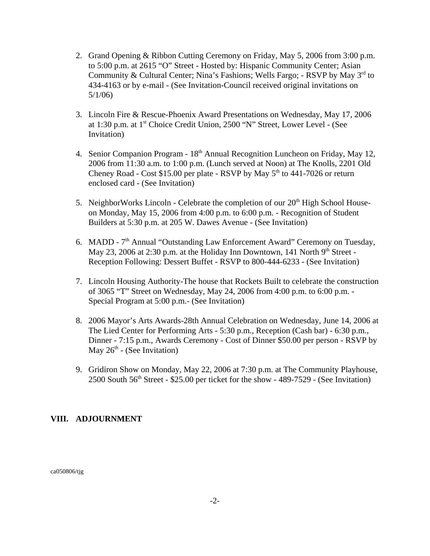- 2. Grand Opening & Ribbon Cutting Ceremony on Friday, May 5, 2006 from 3:00 p.m. to 5:00 p.m. at 2615 "O" Street - Hosted by: Hispanic Community Center; Asian Community & Cultural Center; Nina's Fashions; Wells Fargo; - RSVP by May 3rd to 434-4163 or by e-mail - (See Invitation-Council received original invitations on 5/1/06)
- 3. Lincoln Fire & Rescue-Phoenix Award Presentations on Wednesday, May 17, 2006 at 1:30 p.m. at 1<sup>st</sup> Choice Credit Union, 2500 "N" Street, Lower Level - (See Invitation)
- 4. Senior Companion Program 18<sup>th</sup> Annual Recognition Luncheon on Friday, May 12, 2006 from 11:30 a.m. to 1:00 p.m. (Lunch served at Noon) at The Knolls, 2201 Old Cheney Road - Cost \$15.00 per plate - RSVP by May  $5<sup>th</sup>$  to 441-7026 or return enclosed card - (See Invitation)
- 5. NeighborWorks Lincoln Celebrate the completion of our 20<sup>th</sup> High School Houseon Monday, May 15, 2006 from 4:00 p.m. to 6:00 p.m. - Recognition of Student Builders at 5:30 p.m. at 205 W. Dawes Avenue - (See Invitation)
- 6. MADD 7<sup>th</sup> Annual "Outstanding Law Enforcement Award" Ceremony on Tuesday, May 23, 2006 at 2:30 p.m. at the Holiday Inn Downtown, 141 North 9<sup>th</sup> Street -Reception Following: Dessert Buffet - RSVP to 800-444-6233 - (See Invitation)
- 7. Lincoln Housing Authority-The house that Rockets Built to celebrate the construction of 3065 "T" Street on Wednesday, May 24, 2006 from 4:00 p.m. to 6:00 p.m. - Special Program at 5:00 p.m.- (See Invitation)
- 8. 2006 Mayor's Arts Awards-28th Annual Celebration on Wednesday, June 14, 2006 at The Lied Center for Performing Arts - 5:30 p.m., Reception (Cash bar) - 6:30 p.m., Dinner - 7:15 p.m., Awards Ceremony - Cost of Dinner \$50.00 per person - RSVP by May  $26<sup>th</sup>$  - (See Invitation)
- 9. Gridiron Show on Monday, May 22, 2006 at 7:30 p.m. at The Community Playhouse,  $2500$  South  $56<sup>th</sup>$  Street - \$25.00 per ticket for the show - 489-7529 - (See Invitation)

# **VIII. ADJOURNMENT**

ca050806/tjg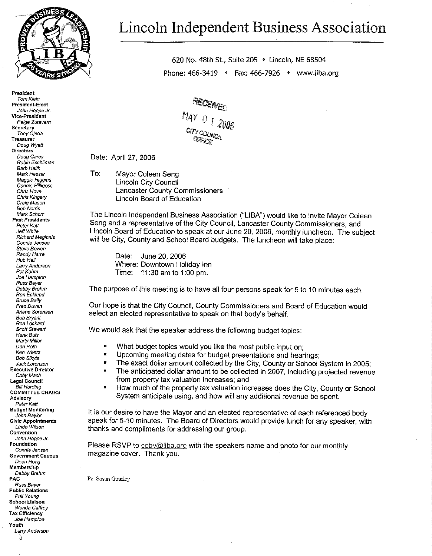

President Tom Kiein **President-Elect** John Hoppe Jr. Vice-President Paige Zutavern Secretary Tony Ojeaa **Treasurer** Doug Wyatt **Directors** Doug Carey Robin Eschliman **Barh Haith** Mark Hesser Maggie Higgins Connie Hilligoss Chris Hove Chris Kingery Craig Mason **Bob Nortis** Mark Schorr **Past Presidents** Peter Katt Jeff White Richard Meginnis Connie Jensen Steve Bowen Randy Harre Hub Hall Larry Anderson Pat Kahm Joe Hampton Russ Bayer Debby Brehm Ron Ecklund **Bruce Baily** Fred Duven Arlene Sorensen **Bob Brvant** Ron Lockard Scott Stewart Hank Buis Marty Miller Dan Roth Ken Wentz Bob Sikyta Jack Lorenzen **Executive Director** Coby Macn **Legal Council Bill Harding COMMITTEE CHAIRS** Advisory Peter Katt **Budget Monitoring** John Baylor **Civic Appointments** Linda Wilson Convention John Hoppe Jr. **Foundation** Connie Jensen **Government Caucus** Dean Hoad Membership Debby Brenm PAC Russ Bayer **Public Relations** Phil Young School Liaison Wanda Caffrey **Tax Efficiency** Joe Hampton Youth Larry Anderson

3

# Lincoln Independent Business Association

620 No. 48th St., Suite 205 • Lincoln, NE 68504 Phone: 466-3419 • Fax: 466-7926 • www.liba.org

MAY 0 1 2006

Date: April 27, 2006

To:

Mavor Coleen Seng **Lincoln City Council Lancaster County Commissioners** Lincoln Board of Education

The Lincoln Independent Business Association ("LIBA") would like to invite Mayor Coleen Seng and a representative of the City Council, Lancaster County Commissioners, and Lincoln Board of Education to speak at our June 20, 2006, monthly luncheon. The subject will be City, County and School Board budgets. The luncheon will take place:

Date: June 20, 2006 Where: Downtown Holiday Inn Time: 11:30 am to 1:00 pm.

The purpose of this meeting is to have all four persons speak for 5 to 10 minutes each.

Our hope is that the City Council, County Commissioners and Board of Education would select an elected representative to speak on that body's behalf.

We would ask that the speaker address the following budget topics:

- ø What budget topics would you like the most public input on;
- $\blacksquare$ Upcoming meeting dates for budget presentations and hearings;
- The exact dollar amount collected by the City, County or School System in 2005;  $\blacksquare$
- The anticipated dollar amount to be collected in 2007, including projected revenue  $\blacksquare$ from property tax valuation increases; and
- $\blacksquare$ How much of the property tax valuation increases does the City, County or School System anticipate using, and how will any additional revenue be spent.

It is our desire to have the Mayor and an elected representative of each referenced body speak for 5-10 minutes. The Board of Directors would provide lunch for any speaker, with thanks and compliments for addressing our group.

Please RSVP to coby@liba.org with the speakers name and photo for our monthly magazine cover. Thank you.

Pc. Susan Gourley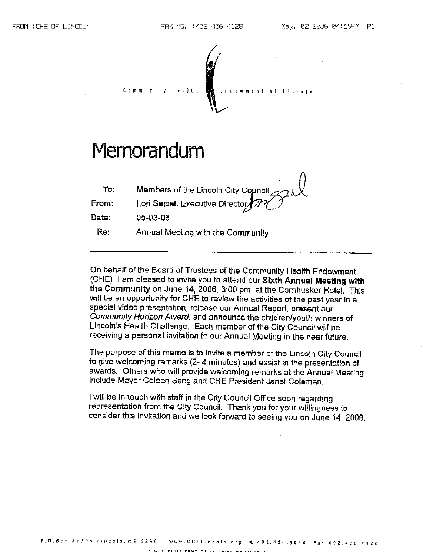

On behalf of the Board of Trustees of the Community Health Endowment (CHE), I am pleased to invite you to attend our Sixth Annual Meeting with the Community on June 14, 2006, 3:00 pm, at the Cornhusker Hotel. This will be an opportunity for CHE to review the activities of the past year in a special video presentation, release our Annual Report, present our Community Horizon Award, and announce the children/youth winners of Lincoln's Health Challenge. Each member of the City Council will be receiving a personal invitation to our Annual Meeting in the near future.

The purpose of this memo is to invite a member of the Lincoln City Council to give welcoming remarks (2-4 minutes) and assist in the presentation of awards. Others who will provide welcoming remarks at the Annual Meeting include Mayor Coleen Seng and CHE President Janet Coleman.

I will be in touch with staff in the City Council Office soon regarding representation from the City Council. Thank you for your willingness to consider this invitation and we look forward to seeing you on June 14, 2006.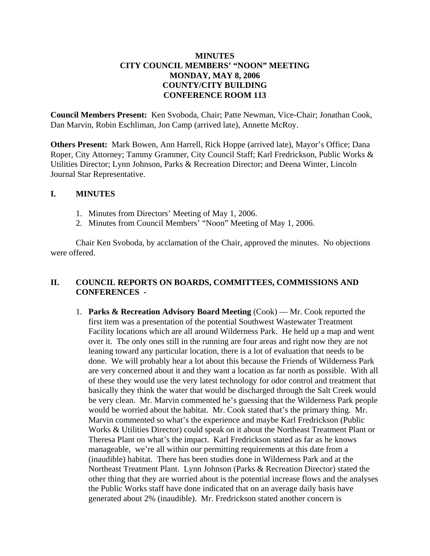# **MINUTES CITY COUNCIL MEMBERS' "NOON" MEETING MONDAY, MAY 8, 2006 COUNTY/CITY BUILDING CONFERENCE ROOM 113**

**Council Members Present:** Ken Svoboda, Chair; Patte Newman, Vice-Chair; Jonathan Cook, Dan Marvin, Robin Eschliman, Jon Camp (arrived late), Annette McRoy.

**Others Present:** Mark Bowen, Ann Harrell, Rick Hoppe (arrived late), Mayor's Office; Dana Roper, City Attorney; Tammy Grammer, City Council Staff; Karl Fredrickson, Public Works & Utilities Director; Lynn Johnson, Parks & Recreation Director; and Deena Winter, Lincoln Journal Star Representative.

## **I. MINUTES**

- 1. Minutes from Directors' Meeting of May 1, 2006.
- 2. Minutes from Council Members' "Noon" Meeting of May 1, 2006.

Chair Ken Svoboda, by acclamation of the Chair, approved the minutes. No objections were offered.

# **II. COUNCIL REPORTS ON BOARDS, COMMITTEES, COMMISSIONS AND CONFERENCES -**

1. **Parks & Recreation Advisory Board Meeting** (Cook) — Mr. Cook reported the first item was a presentation of the potential Southwest Wastewater Treatment Facility locations which are all around Wilderness Park. He held up a map and went over it. The only ones still in the running are four areas and right now they are not leaning toward any particular location, there is a lot of evaluation that needs to be done. We will probably hear a lot about this because the Friends of Wilderness Park are very concerned about it and they want a location as far north as possible. With all of these they would use the very latest technology for odor control and treatment that basically they think the water that would be discharged through the Salt Creek would be very clean. Mr. Marvin commented he's guessing that the Wilderness Park people would be worried about the habitat. Mr. Cook stated that's the primary thing. Mr. Marvin commented so what's the experience and maybe Karl Fredrickson (Public Works & Utilities Director) could speak on it about the Northeast Treatment Plant or Theresa Plant on what's the impact. Karl Fredrickson stated as far as he knows manageable, we're all within our permitting requirements at this date from a (inaudible) habitat. There has been studies done in Wilderness Park and at the Northeast Treatment Plant. Lynn Johnson (Parks & Recreation Director) stated the other thing that they are worried about is the potential increase flows and the analyses the Public Works staff have done indicated that on an average daily basis have generated about 2% (inaudible). Mr. Fredrickson stated another concern is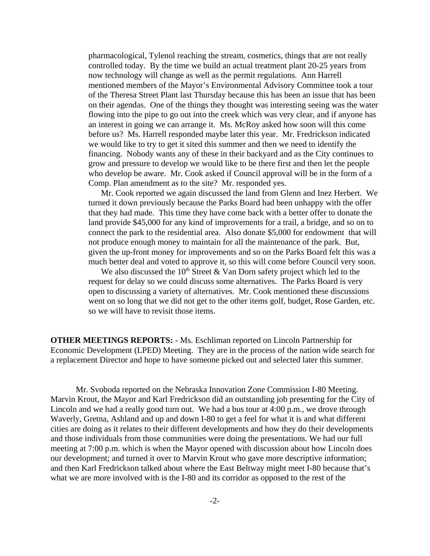pharmacological, Tylenol reaching the stream, cosmetics, things that are not really controlled today. By the time we build an actual treatment plant 20-25 years from now technology will change as well as the permit regulations. Ann Harrell mentioned members of the Mayor's Environmental Advisory Committee took a tour of the Theresa Street Plant last Thursday because this has been an issue that has been on their agendas. One of the things they thought was interesting seeing was the water flowing into the pipe to go out into the creek which was very clear, and if anyone has an interest in going we can arrange it. Ms. McRoy asked how soon will this come before us? Ms. Harrell responded maybe later this year. Mr. Fredrickson indicated we would like to try to get it sited this summer and then we need to identify the financing. Nobody wants any of these in their backyard and as the City continues to grow and pressure to develop we would like to be there first and then let the people who develop be aware. Mr. Cook asked if Council approval will be in the form of a Comp. Plan amendment as to the site? Mr. responded yes.

 Mr. Cook reported we again discussed the land from Glenn and Inez Herbert. We turned it down previously because the Parks Board had been unhappy with the offer that they had made. This time they have come back with a better offer to donate the land provide \$45,000 for any kind of improvements for a trail, a bridge, and so on to connect the park to the residential area. Also donate \$5,000 for endowment that will not produce enough money to maintain for all the maintenance of the park. But, given the up-front money for improvements and so on the Parks Board felt this was a much better deal and voted to approve it, so this will come before Council very soon.

We also discussed the  $10<sup>th</sup>$  Street & Van Dorn safety project which led to the request for delay so we could discuss some alternatives. The Parks Board is very open to discussing a variety of alternatives. Mr. Cook mentioned these discussions went on so long that we did not get to the other items golf, budget, Rose Garden, etc. so we will have to revisit those items.

**OTHER MEETINGS REPORTS:** - Ms. Eschliman reported on Lincoln Partnership for Economic Development (LPED) Meeting. They are in the process of the nation wide search for a replacement Director and hope to have someone picked out and selected later this summer.

Mr. Svoboda reported on the Nebraska Innovation Zone Commission I-80 Meeting. Marvin Krout, the Mayor and Karl Fredrickson did an outstanding job presenting for the City of Lincoln and we had a really good turn out. We had a bus tour at 4:00 p.m., we drove through Waverly, Gretna, Ashland and up and down I-80 to get a feel for what it is and what different cities are doing as it relates to their different developments and how they do their developments and those individuals from those communities were doing the presentations. We had our full meeting at 7:00 p.m. which is when the Mayor opened with discussion about how Lincoln does our development; and turned it over to Marvin Krout who gave more descriptive information; and then Karl Fredrickson talked about where the East Beltway might meet I-80 because that's what we are more involved with is the I-80 and its corridor as opposed to the rest of the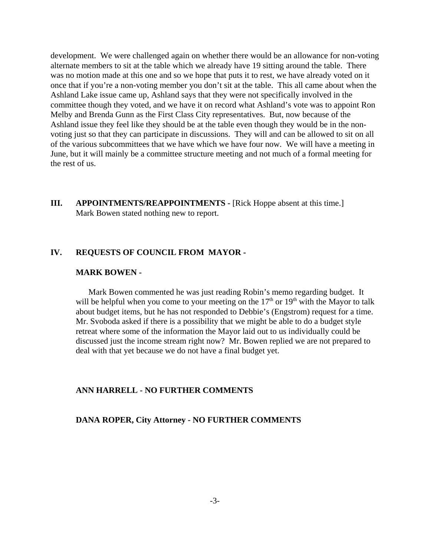development. We were challenged again on whether there would be an allowance for non-voting alternate members to sit at the table which we already have 19 sitting around the table. There was no motion made at this one and so we hope that puts it to rest, we have already voted on it once that if you're a non-voting member you don't sit at the table. This all came about when the Ashland Lake issue came up, Ashland says that they were not specifically involved in the committee though they voted, and we have it on record what Ashland's vote was to appoint Ron Melby and Brenda Gunn as the First Class City representatives. But, now because of the Ashland issue they feel like they should be at the table even though they would be in the nonvoting just so that they can participate in discussions. They will and can be allowed to sit on all of the various subcommittees that we have which we have four now. We will have a meeting in June, but it will mainly be a committee structure meeting and not much of a formal meeting for the rest of us.

**III.** APPOINTMENTS/REAPPOINTMENTS - [Rick Hoppe absent at this time.] Mark Bowen stated nothing new to report.

## **IV. REQUESTS OF COUNCIL FROM MAYOR -**

#### **MARK BOWEN -**

Mark Bowen commented he was just reading Robin's memo regarding budget. It will be helpful when you come to your meeting on the  $17<sup>th</sup>$  or  $19<sup>th</sup>$  with the Mayor to talk about budget items, but he has not responded to Debbie's (Engstrom) request for a time. Mr. Svoboda asked if there is a possibility that we might be able to do a budget style retreat where some of the information the Mayor laid out to us individually could be discussed just the income stream right now? Mr. Bowen replied we are not prepared to deal with that yet because we do not have a final budget yet.

## **ANN HARRELL - NO FURTHER COMMENTS**

## **DANA ROPER, City Attorney - NO FURTHER COMMENTS**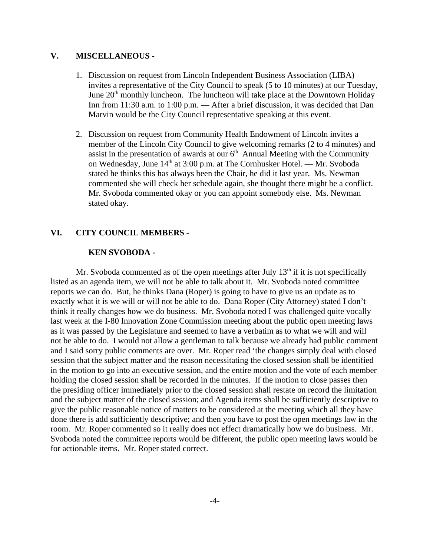## **V. MISCELLANEOUS -**

- 1. Discussion on request from Lincoln Independent Business Association (LIBA) invites a representative of the City Council to speak (5 to 10 minutes) at our Tuesday, June  $20<sup>th</sup>$  monthly luncheon. The luncheon will take place at the Downtown Holiday Inn from 11:30 a.m. to 1:00 p.m. — After a brief discussion, it was decided that Dan Marvin would be the City Council representative speaking at this event.
- 2. Discussion on request from Community Health Endowment of Lincoln invites a member of the Lincoln City Council to give welcoming remarks (2 to 4 minutes) and assist in the presentation of awards at our  $6<sup>th</sup>$  Annual Meeting with the Community on Wednesday, June 14<sup>th</sup> at 3:00 p.m. at The Cornhusker Hotel. — Mr. Svoboda stated he thinks this has always been the Chair, he did it last year. Ms. Newman commented she will check her schedule again, she thought there might be a conflict. Mr. Svoboda commented okay or you can appoint somebody else. Ms. Newman stated okay.

## **VI. CITY COUNCIL MEMBERS** -

#### **KEN SVOBODA -**

Mr. Svoboda commented as of the open meetings after July  $13<sup>th</sup>$  if it is not specifically listed as an agenda item, we will not be able to talk about it. Mr. Svoboda noted committee reports we can do. But, he thinks Dana (Roper) is going to have to give us an update as to exactly what it is we will or will not be able to do. Dana Roper (City Attorney) stated I don't think it really changes how we do business. Mr. Svoboda noted I was challenged quite vocally last week at the I-80 Innovation Zone Commission meeting about the public open meeting laws as it was passed by the Legislature and seemed to have a verbatim as to what we will and will not be able to do. I would not allow a gentleman to talk because we already had public comment and I said sorry public comments are over. Mr. Roper read 'the changes simply deal with closed session that the subject matter and the reason necessitating the closed session shall be identified in the motion to go into an executive session, and the entire motion and the vote of each member holding the closed session shall be recorded in the minutes. If the motion to close passes then the presiding officer immediately prior to the closed session shall restate on record the limitation and the subject matter of the closed session; and Agenda items shall be sufficiently descriptive to give the public reasonable notice of matters to be considered at the meeting which all they have done there is add sufficiently descriptive; and then you have to post the open meetings law in the room. Mr. Roper commented so it really does not effect dramatically how we do business. Mr. Svoboda noted the committee reports would be different, the public open meeting laws would be for actionable items. Mr. Roper stated correct.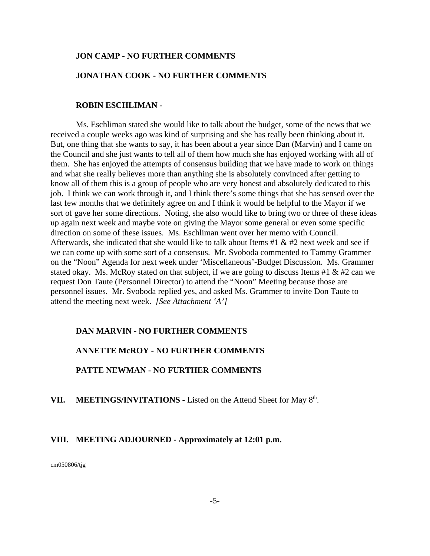## **JON CAMP - NO FURTHER COMMENTS**

## **JONATHAN COOK - NO FURTHER COMMENTS**

## **ROBIN ESCHLIMAN -**

Ms. Eschliman stated she would like to talk about the budget, some of the news that we received a couple weeks ago was kind of surprising and she has really been thinking about it. But, one thing that she wants to say, it has been about a year since Dan (Marvin) and I came on the Council and she just wants to tell all of them how much she has enjoyed working with all of them. She has enjoyed the attempts of consensus building that we have made to work on things and what she really believes more than anything she is absolutely convinced after getting to know all of them this is a group of people who are very honest and absolutely dedicated to this job. I think we can work through it, and I think there's some things that she has sensed over the last few months that we definitely agree on and I think it would be helpful to the Mayor if we sort of gave her some directions. Noting, she also would like to bring two or three of these ideas up again next week and maybe vote on giving the Mayor some general or even some specific direction on some of these issues. Ms. Eschliman went over her memo with Council. Afterwards, she indicated that she would like to talk about Items #1  $\&$  #2 next week and see if we can come up with some sort of a consensus. Mr. Svoboda commented to Tammy Grammer on the "Noon" Agenda for next week under 'Miscellaneous'-Budget Discussion. Ms. Grammer stated okay. Ms. McRoy stated on that subject, if we are going to discuss Items #1  $\&$  #2 can we request Don Taute (Personnel Director) to attend the "Noon" Meeting because those are personnel issues. Mr. Svoboda replied yes, and asked Ms. Grammer to invite Don Taute to attend the meeting next week. *[See Attachment 'A']* 

#### **DAN MARVIN - NO FURTHER COMMENTS**

#### **ANNETTE McROY - NO FURTHER COMMENTS**

## **PATTE NEWMAN - NO FURTHER COMMENTS**

VII. MEETINGS/INVITATIONS - Listed on the Attend Sheet for May 8<sup>th</sup>.

## **VIII. MEETING ADJOURNED - Approximately at 12:01 p.m.**

cm050806/tjg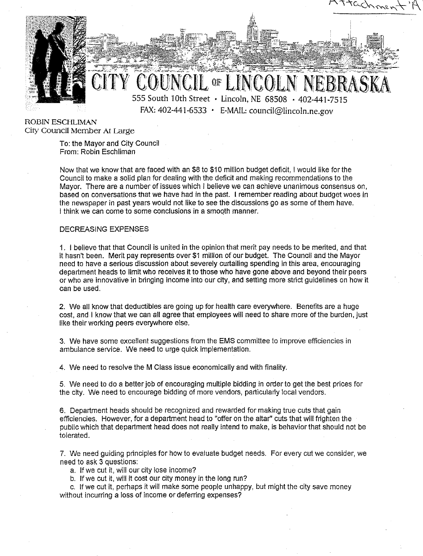

**ROBIN ESCHLIMAN** City Council Member At Large

> To: the Mayor and City Council From: Robin Eschliman

Now that we know that are faced with an \$8 to \$10 million budget deficit. I would like for the Council to make a solid plan for dealing with the deficit and making recommendations to the Mayor. There are a number of issues which I believe we can achieve unanimous consensus on, based on conversations that we have had in the past. I remember reading about budget woes in the newspaper in past years would not like to see the discussions go as some of them have. I think we can come to some conclusions in a smooth manner.

#### **DECREASING EXPENSES**

1. I believe that that Council is united in the opinion that merit pay needs to be merited, and that it hasn't been. Merit pay represents over \$1 million of our budget. The Council and the Mayor need to have a serious discussion about severely curtailing spending in this area, encouraging department heads to limit who receives it to those who have gone above and bevond their peers or who are innovative in bringing income into our city, and setting more strict guidelines on how it can be used.

2. We all know that deductibles are going up for health care everywhere. Benefits are a huge cost, and I know that we can all agree that employees will need to share more of the burden, just like their working peers everywhere else.

3. We have some excellent suggestions from the EMS committee to improve efficiencies in ambulance service. We need to urge quick implementation.

4. We need to resolve the M Class issue economically and with finality.

5. We need to do a better job of encouraging multiple bidding in order to get the best prices for the city. We need to encourage bidding of more vendors, particularly local vendors.

6. Department heads should be recognized and rewarded for making true cuts that gain efficiencies. However, for a department head to "offer on the altar" cuts that will frighten the public which that department head does not really intend to make, is behavior that should not be tolerated.

7. We need guiding principles for how to evaluate budget needs. For every cut we consider, we need to ask 3 questions:

a. If we cut it, will our city lose income?

b. If we cut it, will it cost our city money in the long run?

c. If we cut it, perhaps it will make some people unhappy, but might the city save money without incurring a loss of income or deferring expenses?